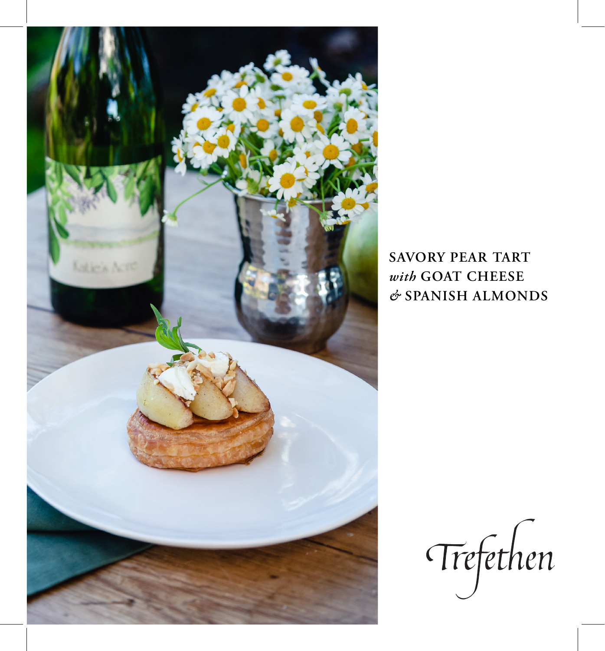

**SAVORY PEAR TART**  *with* **GOAT CHEESE**  *&* **SPANISH ALMONDS**

Trefethen